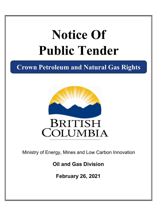# **Notice Of Public Tender**

**Crown Petroleum and Natural Gas Rights**



Ministry of Energy, Mines and Low Carbon Innovation

**Oil and Gas Division**

**February 26, 2021**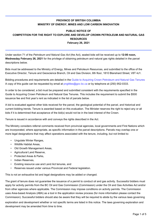## **PROVINCE OF BRITISH COLUMBIA MINISTRY OF ENERGY, MINES AND LOW CARBON INNOVATION**

## **PUBLIC NOTICE OF COMPETITION FOR THE RIGHT TO EXPLORE AND DEVELOP CROWN PETROLEUM AND NATURAL GAS RESOURCES February 26, 2021**

Under section 71 of the *Petroleum and Natural Gas Act* (the Act), sealed bids will be received up to **12:00 noon, Wednesday February 26, 2021** for the privilege of obtaining petroleum and natural gas rights detailed in the parcel descriptions below.

Bids must be addressed to the Ministry of Energy, Mines and Petroleum Resources, and submitted to the office of the Executive Director, Tenure and Geoscience Branch, Oil and Gas Division, 6th floor, 1810 Blanshard Street, V8T 4J1.

Bidding procedures and requirements are detailed in the [Guide to Acquiring Crown Petroleum and Natural Gas Tenures](https://www2.gov.bc.ca/assets/gov/farming-natural-resources-and-industry/natural-gas-oil/png-crown-sale/publications/biddinganddispositionguide.pdf) A copy of this guide can be requested by email at<pngtitles@gov.bc.ca> or by telephone at (250) 952-0333.

In order to be considered, a bid must be prepared and submitted consistent with the requirements specified in the Guide to Acquiring Crown Petroleum and Natural Gas Tenures. This includes the requirement to submit the \$500 issuance fee and first year's rent as indicated in the list of parcels below.

A bid is evaluated against other bids received for the parcel, the geological potential of the parcel, and historical and current bidding trends. Tenure is awarded based on this evaluation. The Minister reserves the right to reject any or all bids if it is determined that acceptance of the bid(s) would not be in the best interest of the Crown.

Tenure is issued in accordance with and conveys the rights described in the Act.

The Ministry considers referral comments received from provincial agencies, local governments and First Nations which are incorporated, where appropriate, as specific information in the parcel descriptions. Parcels may overlap one or more legal designations that may affect operations associated with the tenure, including, but not limited to:

- Ungulate Winter Ranges,
- Wildlife Habitat Areas,
- Old Growth Management Areas,
- Agricultural Land Reserve,
- Protected Areas & Parks,
- Indian Reserves,
- Existing resource use and Land Act tenures, and
- Reserves issued under various Provincial and Federal legislation.

This is not an exhaustive list and legal designations may be added or changed.

The grant of tenure does not guarantee the issuance of a permit to conduct oil and gas activity. Successful bidders must apply for activity permits from the BC Oil and Gas Commission (Commission) under the Oil and Gas Activities Act and/or from other agencies where applicable. The Commission may impose conditions on activity permits. The Commission uses Area-based Analysis (ABA) as a tool in the application review process (for more information please contact the Commission). Successful bidders should also be aware that they will be required to abide by the various laws governing

exploration and development whether or not specific terms are listed in this notice. The laws governing exploration and development may be amended from time to time.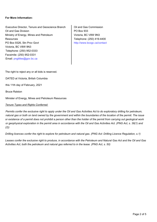#### **For More Information:**

Executive Director, Tenure and Geoscience Branch | Oil and Gas Commission Oil and Gas Division Ministry of Energy, Mines and Petroleum **Resources** PO Box 9326, Stn Prov Govt Victoria, BC V8W 9N3 Telephone: (250) 952-0333 Email: <pngtitles@gov.bc.ca> Facsimile: (250) 952-0331

PO Box 933 Victoria, BC V8W 9N3 Telephone: (250) 419-4400 [http://www.bcogc.ca/contact](http://www.bcogc.ca/contact )

The right to reject any or all bids is reserved.

DATED at Victoria, British Columbia

this 11th day of February, 2021

Bruce Ralston

Minister of Energy, Mines and Petroleum Resources

#### *Tenure Types and Rights Conferred:*

*Permits confer the exclusive right to apply under the Oil and Gas Activities Act to do exploratory drilling for petroleum, natural gas or both on land owned by the government and within the boundaries of the location of the permit. The issue or existence of a permit does not prohibit a person other than the holder of the permit from carrying out geological work or geophysical exploration in the permit area in accordance with the Oil and Gas Activities Act. (PNG Act, s. 38(1) and (2))*

*Drilling licences confer the right to explore for petroleum and natural gas. (PNG Act: Drilling Licence Regulation, s.1)*

*Leases confer the exclusive right to produce, in accordance with the Petroleum and Natural Gas Act and the Oil and Gas Activities Act, both the petroleum and natural gas referred to in the lease. (PNG Act, s. 50)*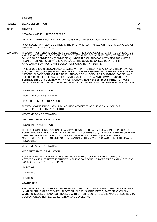|                | <b>LEASES</b>                                                                                                                                                                                                                                                                                                                                                                                                                                                                                        |  |
|----------------|------------------------------------------------------------------------------------------------------------------------------------------------------------------------------------------------------------------------------------------------------------------------------------------------------------------------------------------------------------------------------------------------------------------------------------------------------------------------------------------------------|--|
| <b>PARCEL</b>  | <b>LEGAL DESCRIPTION</b>                                                                                                                                                                                                                                                                                                                                                                                                                                                                             |  |
| 67159          | <b>TRACT 1</b>                                                                                                                                                                                                                                                                                                                                                                                                                                                                                       |  |
|                | NTS 094-J-10 BLK I UNITS 76 77 86 87                                                                                                                                                                                                                                                                                                                                                                                                                                                                 |  |
|                | INCLUDING PETROLEUM AND NATURAL GAS BELOW BASE OF 16001 SLAVE POINT                                                                                                                                                                                                                                                                                                                                                                                                                                  |  |
|                | 16001 SLAVE POINT ZONE DEFINED IN THE INTERVAL 7025.4'-7552.8' ON THE BHC SONIC LOG OF<br>THE WELL W.A. 2040 A-2-D/94-J-10                                                                                                                                                                                                                                                                                                                                                                           |  |
| <b>CAVEATS</b> | THE GRANT OF TENURE DOES NOT GUARANTEE THE ISSUANCE OF A PERMIT TO CONDUCT OIL<br>AND GAS ACTIVITY. SUCCESSFUL BIDDERS MUST APPLY FOR ACTIVITY PERMITS FROM THE BC<br>OIL AND GAS COMMISSION (COMMISSION) UNDER THE OIL AND GAS ACTIVITIES ACT AND/OR<br>FROM OTHER AGENCIES WHERE APPLICABLE. THE COMMISSION MAY DENY PERMIT<br>APPLICATIONS OR MAY IMPOSE CONDITIONS ON ACTIVITY PERMITS.                                                                                                          |  |
|                | PARCEL OVERLAPS CROWN LAND LOCATED WITHIN THE TREATY #8 AREA AND THE PROVINCE<br>STRONGLY ENCOURAGES EARLY PRE-APPLICATION ENGAGEMENT WITH THE RELEVANT FIRST<br>NATIONS; PLEASE CONTACT THE BC OIL AND GAS COMMISSION FOR GUIDANCE. PARCEL WAS<br>REFERRED TO THE FOLLOWING FIRST NATION(S) FOR REVIEW AND COMMENT (NOTE THAT<br>SUBSEQUENT CONSULTATION WITH FIRST NATIONS, NOT NECESSARILY LIMITED TO THOSE<br>LISTED BELOW, MAY BE REQUIRED PRIOR TO ACTIVITIES BEING AUTHORIZED ON CROWN LAND): |  |
|                | - DENE THA' FIRST NATION                                                                                                                                                                                                                                                                                                                                                                                                                                                                             |  |
|                | - FORT NELSON FIRST NATION                                                                                                                                                                                                                                                                                                                                                                                                                                                                           |  |
|                | - PROPHET RIVER FIRST NATION                                                                                                                                                                                                                                                                                                                                                                                                                                                                         |  |
|                | THE FOLLOWING FIRST NATION(S) HAS/HAVE ADVISED THAT THE AREA IS USED FOR<br>PRACTISING THEIR TREATY RIGHTS:                                                                                                                                                                                                                                                                                                                                                                                          |  |
|                | - FORT NELSON FIRST NATION                                                                                                                                                                                                                                                                                                                                                                                                                                                                           |  |
|                | - PROPHET RIVER FIRST NATION                                                                                                                                                                                                                                                                                                                                                                                                                                                                         |  |
|                | - DENE THA' FIRST NATION                                                                                                                                                                                                                                                                                                                                                                                                                                                                             |  |
|                | THE FOLLOWING FIRST NATION(S) HAS/HAVE REQUESTED EARLY ENGAGEMENT, PRIOR TO<br>SUBMITTING AN APPLICATION TO THE OIL AND GAS COMMISSION, TO PROVIDE THE PROPONENT<br>WITH THE OPPORTUNITY TO DISCUSS FIRST NATION(S) INTERESTS (ASSESSMENTS;<br>MONITORING STUDIES; AND MITIGATION, MANAGEMENT AND/OR RECLAMATION PLANS MAY BE<br>REQUESTED):                                                                                                                                                         |  |
|                | - FORT NELSON FIRST NATION                                                                                                                                                                                                                                                                                                                                                                                                                                                                           |  |
|                | - PROPHET RIVER FIRST NATION                                                                                                                                                                                                                                                                                                                                                                                                                                                                         |  |
|                | ACCESS, EXPLORATION AND CONSTRUCTION RESTRICTIONS MAY APPLY TO PROTECT<br>ACTIVITIES AND INTERESTS IDENTIFIED IN THE AREA BY ONE OR MORE FIRST NATIONS. THESE<br>INCLUDE BUT ARE NOT LIMITED TO:                                                                                                                                                                                                                                                                                                     |  |
|                | - HUNTING                                                                                                                                                                                                                                                                                                                                                                                                                                                                                            |  |
|                | - TRAPPING                                                                                                                                                                                                                                                                                                                                                                                                                                                                                           |  |
|                | - FISHING                                                                                                                                                                                                                                                                                                                                                                                                                                                                                            |  |
|                | - GATHERING                                                                                                                                                                                                                                                                                                                                                                                                                                                                                          |  |
|                | PARCEL IS LOCATED WITHIN HORN RIVER, MONTNEY OR CORDOVA EMBAYMENT BOUNDARIES<br>IN WHICH SHALE GAS RECOVERY AND TECHNOLOGY IS ANTICIPATED; PARTICIPATION IN A<br>WATER OR ACCESS PLANNING PROCESS WITH OTHER TENURE HOLDERS MAY BE REQUIRED TO<br>COORDINATE ACTIVITIES, EXPLORATION AND DEVELOPMENT.                                                                                                                                                                                                |  |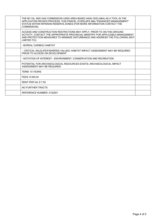| THE BC OIL AND GAS COMMISSION USES AREA BASED ANALYSIS (ABA) AS A TOOL IN THE<br>APPLICATION REVIEW PROCESS; THIS PARCEL OVERLAPS ABA "ENHANCED MANAGEMENT"<br>STATUS WITHIN RIPARIAN RESERVE ZONES (FOR MORE INFORMATION CONTACT THE<br>COMMISSION).       |  |
|-------------------------------------------------------------------------------------------------------------------------------------------------------------------------------------------------------------------------------------------------------------|--|
| ACCESS AND CONSTRUCTION RESTRICTIONS MAY APPLY. PRIOR TO ON-THE-GROUND<br>ACTIVITY, CONTACT THE APPROPRIATE PROVINCIAL MINISTRY FOR APPLICABLE MANAGEMENT<br>AND PROTECTION MEASURES TO MINIMIZE DISTURBANCE AND ADDRESS THE FOLLOWING (NOT<br>LIMITED TO): |  |
| - BOREAL CARIBOU HABITAT                                                                                                                                                                                                                                    |  |
| - CRITICAL WILDLIFE/FISHERIES VALUES; HABITAT IMPACT ASSESSMENT MAY BE REQUIRED<br>PRIOR TO ACCESS OR DEVELOPMENT                                                                                                                                           |  |
| - NOTATION OF INTEREST - ENVIRONMENT, CONSERVATION AND RECREATION                                                                                                                                                                                           |  |
| POTENTIAL FOR ARCHAEOLOGICAL RESOURCES EXISTS; ARCHAEOLOGICAL IMPACT<br>ASSESSMENT MAY BE REQUIRED.                                                                                                                                                         |  |
| TERM: 10 YEARS                                                                                                                                                                                                                                              |  |
| FEES: \$500.00                                                                                                                                                                                                                                              |  |
| <b>RENT PER HA: \$7.50</b>                                                                                                                                                                                                                                  |  |
| NO FURTHER TRACTS                                                                                                                                                                                                                                           |  |
| REFERENCE NUMBER: 2102001                                                                                                                                                                                                                                   |  |
|                                                                                                                                                                                                                                                             |  |